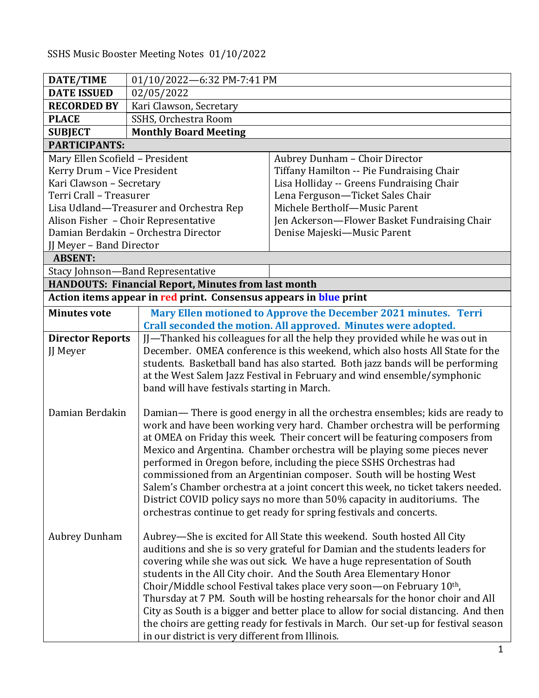SSHS Music Booster Meeting Notes 01/10/2022

| DATE/TIME<br>01/10/2022-6:32 PM-7:41 PM                                                                 |  |
|---------------------------------------------------------------------------------------------------------|--|
| <b>DATE ISSUED</b><br>02/05/2022                                                                        |  |
| <b>RECORDED BY</b><br>Kari Clawson, Secretary                                                           |  |
| <b>PLACE</b><br>SSHS, Orchestra Room                                                                    |  |
| <b>Monthly Board Meeting</b><br><b>SUBJECT</b>                                                          |  |
| <b>PARTICIPANTS:</b>                                                                                    |  |
| Mary Ellen Scofield - President<br>Aubrey Dunham - Choir Director                                       |  |
| Kerry Drum - Vice President<br>Tiffany Hamilton -- Pie Fundraising Chair                                |  |
| Kari Clawson - Secretary<br>Lisa Holliday -- Greens Fundraising Chair                                   |  |
| Lena Ferguson-Ticket Sales Chair<br>Terri Crall - Treasurer                                             |  |
| Michele Bertholf-Music Parent<br>Lisa Udland-Treasurer and Orchestra Rep                                |  |
| Alison Fisher - Choir Representative<br>Jen Ackerson-Flower Basket Fundraising Chair                    |  |
| Damian Berdakin - Orchestra Director<br>Denise Majeski-Music Parent                                     |  |
| JJ Meyer - Band Director                                                                                |  |
| <b>ABSENT:</b>                                                                                          |  |
| Stacy Johnson-Band Representative                                                                       |  |
| <b>HANDOUTS: Financial Report, Minutes from last month</b>                                              |  |
| Action items appear in red print. Consensus appears in blue print                                       |  |
| Mary Ellen motioned to Approve the December 2021 minutes. Terri<br><b>Minutes vote</b>                  |  |
| Crall seconded the motion. All approved. Minutes were adopted.                                          |  |
| JJ-Thanked his colleagues for all the help they provided while he was out in<br><b>Director Reports</b> |  |
| December. OMEA conference is this weekend, which also hosts All State for the<br><b>JJ</b> Meyer        |  |
| students. Basketball band has also started. Both jazz bands will be performing                          |  |
| at the West Salem Jazz Festival in February and wind ensemble/symphonic                                 |  |
| band will have festivals starting in March.                                                             |  |
|                                                                                                         |  |
| Damian Berdakin<br>Damian— There is good energy in all the orchestra ensembles; kids are ready to       |  |
| work and have been working very hard. Chamber orchestra will be performing                              |  |
| at OMEA on Friday this week. Their concert will be featuring composers from                             |  |
| Mexico and Argentina. Chamber orchestra will be playing some pieces never                               |  |
| performed in Oregon before, including the piece SSHS Orchestras had                                     |  |
| commissioned from an Argentinian composer. South will be hosting West                                   |  |
| Salem's Chamber orchestra at a joint concert this week, no ticket takers needed.                        |  |
| District COVID policy says no more than 50% capacity in auditoriums. The                                |  |
| orchestras continue to get ready for spring festivals and concerts.                                     |  |
| <b>Aubrey Dunham</b><br>Aubrey-She is excited for All State this weekend. South hosted All City         |  |
| auditions and she is so very grateful for Damian and the students leaders for                           |  |
| covering while she was out sick. We have a huge representation of South                                 |  |
| students in the All City choir. And the South Area Elementary Honor                                     |  |
| Choir/Middle school Festival takes place very soon-on February 10th,                                    |  |
| Thursday at 7 PM. South will be hosting rehearsals for the honor choir and All                          |  |
| City as South is a bigger and better place to allow for social distancing. And then                     |  |
| the choirs are getting ready for festivals in March. Our set-up for festival season                     |  |
| in our district is very different from Illinois.                                                        |  |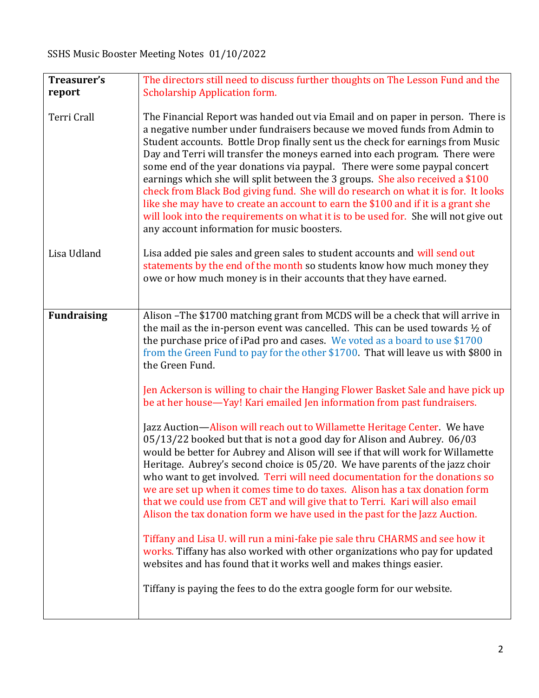| Treasurer's        | The directors still need to discuss further thoughts on The Lesson Fund and the                                                                                                                                                                                                                                                                                                                                                                                                                                                                                                                                                                                                                                                                                                                                                                                                                                                                                                                                                                                                                                                                                                                                                                                                                                                                                                                                                                                                                              |
|--------------------|--------------------------------------------------------------------------------------------------------------------------------------------------------------------------------------------------------------------------------------------------------------------------------------------------------------------------------------------------------------------------------------------------------------------------------------------------------------------------------------------------------------------------------------------------------------------------------------------------------------------------------------------------------------------------------------------------------------------------------------------------------------------------------------------------------------------------------------------------------------------------------------------------------------------------------------------------------------------------------------------------------------------------------------------------------------------------------------------------------------------------------------------------------------------------------------------------------------------------------------------------------------------------------------------------------------------------------------------------------------------------------------------------------------------------------------------------------------------------------------------------------------|
| report             | <b>Scholarship Application form.</b>                                                                                                                                                                                                                                                                                                                                                                                                                                                                                                                                                                                                                                                                                                                                                                                                                                                                                                                                                                                                                                                                                                                                                                                                                                                                                                                                                                                                                                                                         |
|                    |                                                                                                                                                                                                                                                                                                                                                                                                                                                                                                                                                                                                                                                                                                                                                                                                                                                                                                                                                                                                                                                                                                                                                                                                                                                                                                                                                                                                                                                                                                              |
| Terri Crall        | The Financial Report was handed out via Email and on paper in person. There is<br>a negative number under fundraisers because we moved funds from Admin to<br>Student accounts. Bottle Drop finally sent us the check for earnings from Music<br>Day and Terri will transfer the moneys earned into each program. There were<br>some end of the year donations via paypal. There were some paypal concert<br>earnings which she will split between the 3 groups. She also received a \$100<br>check from Black Bod giving fund. She will do research on what it is for. It looks<br>like she may have to create an account to earn the \$100 and if it is a grant she<br>will look into the requirements on what it is to be used for. She will not give out<br>any account information for music boosters.                                                                                                                                                                                                                                                                                                                                                                                                                                                                                                                                                                                                                                                                                                  |
| Lisa Udland        | Lisa added pie sales and green sales to student accounts and will send out<br>statements by the end of the month so students know how much money they<br>owe or how much money is in their accounts that they have earned.                                                                                                                                                                                                                                                                                                                                                                                                                                                                                                                                                                                                                                                                                                                                                                                                                                                                                                                                                                                                                                                                                                                                                                                                                                                                                   |
| <b>Fundraising</b> | Alison -The \$1700 matching grant from MCDS will be a check that will arrive in<br>the mail as the in-person event was cancelled. This can be used towards $\frac{1}{2}$ of<br>the purchase price of iPad pro and cases. We voted as a board to use \$1700<br>from the Green Fund to pay for the other \$1700. That will leave us with \$800 in<br>the Green Fund.<br>Jen Ackerson is willing to chair the Hanging Flower Basket Sale and have pick up<br>be at her house—Yay! Kari emailed Jen information from past fundraisers.<br>Jazz Auction—Alison will reach out to Willamette Heritage Center. We have<br>05/13/22 booked but that is not a good day for Alison and Aubrey. 06/03<br>would be better for Aubrey and Alison will see if that will work for Willamette<br>Heritage. Aubrey's second choice is 05/20. We have parents of the jazz choir<br>who want to get involved. Terri will need documentation for the donations so<br>we are set up when it comes time to do taxes. Alison has a tax donation form<br>that we could use from CET and will give that to Terri. Kari will also email<br>Alison the tax donation form we have used in the past for the Jazz Auction.<br>Tiffany and Lisa U. will run a mini-fake pie sale thru CHARMS and see how it<br>works. Tiffany has also worked with other organizations who pay for updated<br>websites and has found that it works well and makes things easier.<br>Tiffany is paying the fees to do the extra google form for our website. |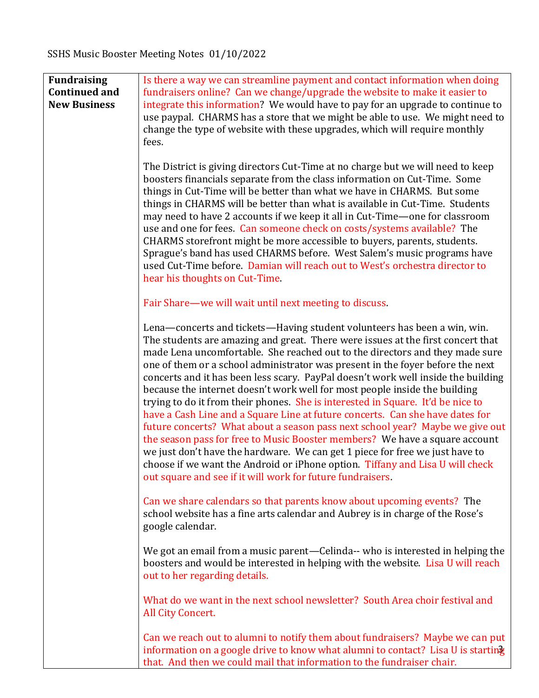| <b>Fundraising</b><br><b>Continued and</b><br><b>New Business</b> | Is there a way we can streamline payment and contact information when doing<br>fundraisers online? Can we change/upgrade the website to make it easier to<br>integrate this information? We would have to pay for an upgrade to continue to<br>use paypal. CHARMS has a store that we might be able to use. We might need to<br>change the type of website with these upgrades, which will require monthly<br>fees.                                                                                                                                                                                                                                                                                                                                                                                                                                                                                                                                                                                                                                                 |
|-------------------------------------------------------------------|---------------------------------------------------------------------------------------------------------------------------------------------------------------------------------------------------------------------------------------------------------------------------------------------------------------------------------------------------------------------------------------------------------------------------------------------------------------------------------------------------------------------------------------------------------------------------------------------------------------------------------------------------------------------------------------------------------------------------------------------------------------------------------------------------------------------------------------------------------------------------------------------------------------------------------------------------------------------------------------------------------------------------------------------------------------------|
|                                                                   | The District is giving directors Cut-Time at no charge but we will need to keep<br>boosters financials separate from the class information on Cut-Time. Some<br>things in Cut-Time will be better than what we have in CHARMS. But some<br>things in CHARMS will be better than what is available in Cut-Time. Students<br>may need to have 2 accounts if we keep it all in Cut-Time-one for classroom<br>use and one for fees. Can someone check on costs/systems available? The<br>CHARMS storefront might be more accessible to buyers, parents, students.<br>Sprague's band has used CHARMS before. West Salem's music programs have<br>used Cut-Time before. Damian will reach out to West's orchestra director to<br>hear his thoughts on Cut-Time.                                                                                                                                                                                                                                                                                                           |
|                                                                   | Fair Share—we will wait until next meeting to discuss.                                                                                                                                                                                                                                                                                                                                                                                                                                                                                                                                                                                                                                                                                                                                                                                                                                                                                                                                                                                                              |
|                                                                   | Lena—concerts and tickets—Having student volunteers has been a win, win.<br>The students are amazing and great. There were issues at the first concert that<br>made Lena uncomfortable. She reached out to the directors and they made sure<br>one of them or a school administrator was present in the foyer before the next<br>concerts and it has been less scary. PayPal doesn't work well inside the building<br>because the internet doesn't work well for most people inside the building<br>trying to do it from their phones. She is interested in Square. It'd be nice to<br>have a Cash Line and a Square Line at future concerts. Can she have dates for<br>future concerts? What about a season pass next school year? Maybe we give out<br>the season pass for free to Music Booster members? We have a square account<br>we just don't have the hardware. We can get 1 piece for free we just have to<br>choose if we want the Android or iPhone option. Tiffany and Lisa U will check<br>out square and see if it will work for future fundraisers. |
|                                                                   | Can we share calendars so that parents know about upcoming events? The<br>school website has a fine arts calendar and Aubrey is in charge of the Rose's<br>google calendar.                                                                                                                                                                                                                                                                                                                                                                                                                                                                                                                                                                                                                                                                                                                                                                                                                                                                                         |
|                                                                   | We got an email from a music parent—Celinda-- who is interested in helping the<br>boosters and would be interested in helping with the website. Lisa U will reach<br>out to her regarding details.                                                                                                                                                                                                                                                                                                                                                                                                                                                                                                                                                                                                                                                                                                                                                                                                                                                                  |
|                                                                   | What do we want in the next school newsletter? South Area choir festival and<br>All City Concert.                                                                                                                                                                                                                                                                                                                                                                                                                                                                                                                                                                                                                                                                                                                                                                                                                                                                                                                                                                   |
|                                                                   | Can we reach out to alumni to notify them about fundraisers? Maybe we can put<br>information on a google drive to know what alumni to contact? Lisa U is starting<br>that. And then we could mail that information to the fundraiser chair.                                                                                                                                                                                                                                                                                                                                                                                                                                                                                                                                                                                                                                                                                                                                                                                                                         |